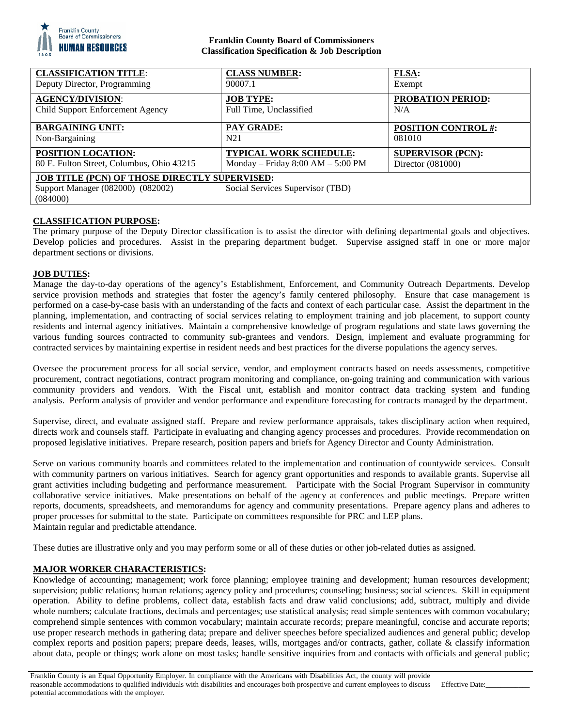

# **Franklin County Board of Commissioners Classification Specification & Job Description**

| <b>CLASSIFICATION TITLE:</b>                                                                                                              | <b>CLASS NUMBER:</b>                  | <b>FLSA:</b>               |
|-------------------------------------------------------------------------------------------------------------------------------------------|---------------------------------------|----------------------------|
| Deputy Director, Programming                                                                                                              | 90007.1                               | Exempt                     |
| <b>AGENCY/DIVISION:</b>                                                                                                                   | <b>JOB TYPE:</b>                      | <b>PROBATION PERIOD:</b>   |
| Child Support Enforcement Agency                                                                                                          | Full Time, Unclassified               | N/A                        |
| <b>BARGAINING UNIT:</b>                                                                                                                   | <b>PAY GRADE:</b>                     | <b>POSITION CONTROL #:</b> |
| Non-Bargaining                                                                                                                            | N <sub>2</sub> 1                      | 081010                     |
| POSITION LOCATION:                                                                                                                        | <b>TYPICAL WORK SCHEDULE:</b>         | <b>SUPERVISOR (PCN):</b>   |
| 80 E. Fulton Street, Columbus, Ohio 43215                                                                                                 | Monday – Friday $8:00$ AM – $5:00$ PM | Director (081000)          |
| <b>JOB TITLE (PCN) OF THOSE DIRECTLY SUPERVISED:</b><br>Social Services Supervisor (TBD)<br>Support Manager (082000) (082002)<br>(084000) |                                       |                            |

# **CLASSIFICATION PURPOSE:**

The primary purpose of the Deputy Director classification is to assist the director with defining departmental goals and objectives. Develop policies and procedures. Assist in the preparing department budget. Supervise assigned staff in one or more major department sections or divisions.

# **JOB DUTIES:**

Manage the day-to-day operations of the agency's Establishment, Enforcement, and Community Outreach Departments. Develop service provision methods and strategies that foster the agency's family centered philosophy. Ensure that case management is performed on a case-by-case basis with an understanding of the facts and context of each particular case. Assist the department in the planning, implementation, and contracting of social services relating to employment training and job placement, to support county residents and internal agency initiatives. Maintain a comprehensive knowledge of program regulations and state laws governing the various funding sources contracted to community sub-grantees and vendors. Design, implement and evaluate programming for contracted services by maintaining expertise in resident needs and best practices for the diverse populations the agency serves.

Oversee the procurement process for all social service, vendor, and employment contracts based on needs assessments, competitive procurement, contract negotiations, contract program monitoring and compliance, on-going training and communication with various community providers and vendors. With the Fiscal unit, establish and monitor contract data tracking system and funding analysis. Perform analysis of provider and vendor performance and expenditure forecasting for contracts managed by the department.

Supervise, direct, and evaluate assigned staff. Prepare and review performance appraisals, takes disciplinary action when required, directs work and counsels staff. Participate in evaluating and changing agency processes and procedures. Provide recommendation on proposed legislative initiatives. Prepare research, position papers and briefs for Agency Director and County Administration.

Serve on various community boards and committees related to the implementation and continuation of countywide services. Consult with community partners on various initiatives. Search for agency grant opportunities and responds to available grants. Supervise all grant activities including budgeting and performance measurement. Participate with the Social Program Supervisor in community collaborative service initiatives. Make presentations on behalf of the agency at conferences and public meetings. Prepare written reports, documents, spreadsheets, and memorandums for agency and community presentations. Prepare agency plans and adheres to proper processes for submittal to the state. Participate on committees responsible for PRC and LEP plans. Maintain regular and predictable attendance.

These duties are illustrative only and you may perform some or all of these duties or other job-related duties as assigned.

# **MAJOR WORKER CHARACTERISTICS:**

Knowledge of accounting; management; work force planning; employee training and development; human resources development; supervision; public relations; human relations; agency policy and procedures; counseling; business; social sciences. Skill in equipment operation. Ability to define problems, collect data, establish facts and draw valid conclusions; add, subtract, multiply and divide whole numbers; calculate fractions, decimals and percentages; use statistical analysis; read simple sentences with common vocabulary; comprehend simple sentences with common vocabulary; maintain accurate records; prepare meaningful, concise and accurate reports; use proper research methods in gathering data; prepare and deliver speeches before specialized audiences and general public; develop complex reports and position papers; prepare deeds, leases, wills, mortgages and/or contracts, gather, collate & classify information about data, people or things; work alone on most tasks; handle sensitive inquiries from and contacts with officials and general public;

Effective Date:\_\_\_\_\_\_\_\_\_\_\_\_